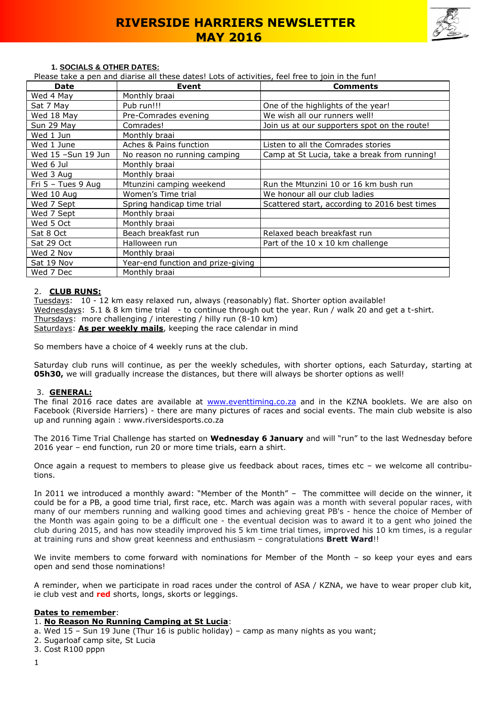

#### **1. SOCIALS & OTHER DATES:**

Please take a pen and diarise all these dates! Lots of activities, feel free to join in the fun!

| <b>Date</b>          | Event                              | <b>Comments</b>                               |
|----------------------|------------------------------------|-----------------------------------------------|
| Wed 4 May            | Monthly braai                      |                                               |
| Sat 7 May            | Pub run!!!                         | One of the highlights of the year!            |
| Wed 18 May           | Pre-Comrades evening               | We wish all our runners well!                 |
| Sun 29 May           | Comrades!                          | Join us at our supporters spot on the route!  |
| Wed 1 Jun            | Monthly braai                      |                                               |
| Wed 1 June           | Aches & Pains function             | Listen to all the Comrades stories            |
| Wed 15 -Sun 19 Jun   | No reason no running camping       | Camp at St Lucia, take a break from running!  |
| Wed 6 Jul            | Monthly braai                      |                                               |
| Wed 3 Aug            | Monthly braai                      |                                               |
| Fri $5 -$ Tues 9 Aug | Mtunzini camping weekend           | Run the Mtunzini 10 or 16 km bush run         |
| Wed 10 Aug           | Women's Time trial                 | We honour all our club ladies                 |
| Wed 7 Sept           | Spring handicap time trial         | Scattered start, according to 2016 best times |
| Wed 7 Sept           | Monthly braai                      |                                               |
| Wed 5 Oct            | Monthly braai                      |                                               |
| Sat 8 Oct            | Beach breakfast run                | Relaxed beach breakfast run                   |
| Sat 29 Oct           | Halloween run                      | Part of the 10 x 10 km challenge              |
| Wed 2 Nov            | Monthly braai                      |                                               |
| Sat 19 Nov           | Year-end function and prize-giving |                                               |
| Wed 7 Dec            | Monthly braai                      |                                               |

#### 2. **CLUB RUNS:**

Tuesdays: 10 - 12 km easy relaxed run, always (reasonably) flat. Shorter option available! Wednesdays: 5.1 & 8 km time trial - to continue through out the year. Run / walk 20 and get a t-shirt. Thursdays: more challenging / interesting / hilly run (8-10 km) Saturdays: **As per weekly mails**, keeping the race calendar in mind

So members have a choice of 4 weekly runs at the club.

Saturday club runs will continue, as per the weekly schedules, with shorter options, each Saturday, starting at **05h30,** we will gradually increase the distances, but there will always be shorter options as well!

#### 3. **GENERAL:**

The final 2016 race dates are available at [www.eventtiming.co.za](http://www.eventtiming.co.za/) and in the KZNA booklets. We are also on Facebook (Riverside Harriers) - there are many pictures of races and social events. The main club website is also up and running again : www.riversidesports.co.za

The 2016 Time Trial Challenge has started on **Wednesday 6 January** and will "run" to the last Wednesday before 2016 year – end function, run 20 or more time trials, earn a shirt.

Once again a request to members to please give us feedback about races, times etc – we welcome all contributions.

In 2011 we introduced a monthly award: "Member of the Month" – The committee will decide on the winner, it could be for a PB, a good time trial, first race, etc. March was again was a month with several popular races, with many of our members running and walking good times and achieving great PB's - hence the choice of Member of the Month was again going to be a difficult one - the eventual decision was to award it to a gent who joined the club during 2015, and has now steadily improved his 5 km time trial times, improved his 10 km times, is a regular at training runs and show great keenness and enthusiasm – congratulations **Brett Ward**!!

We invite members to come forward with nominations for Member of the Month - so keep your eyes and ears open and send those nominations!

A reminder, when we participate in road races under the control of ASA / KZNA, we have to wear proper club kit, ie club vest and **red** shorts, longs, skorts or leggings.

#### **Dates to remember**:

#### 1. **No Reason No Running Camping at St Lucia**:

a. Wed 15 – Sun 19 June (Thur 16 is public holiday) – camp as many nights as you want;

- 2. Sugarloaf camp site, St Lucia
- 3. Cost R100 pppn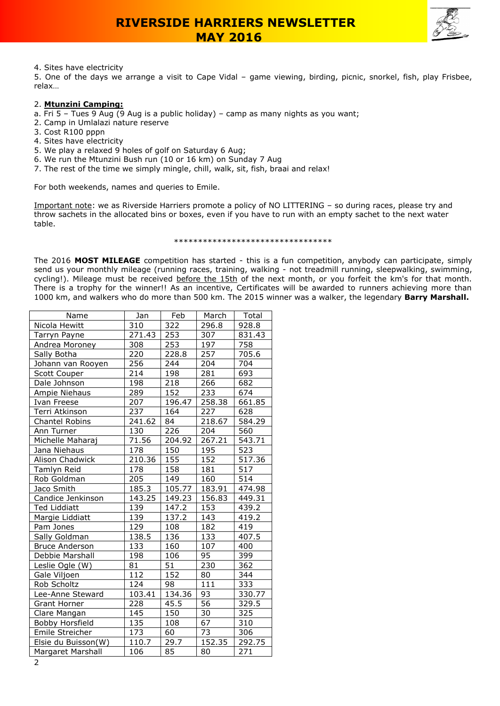

### 4. Sites have electricity

5. One of the days we arrange a visit to Cape Vidal – game viewing, birding, picnic, snorkel, fish, play Frisbee, relax…

### 2. **Mtunzini Camping:**

- a. Fri 5 Tues 9 Aug (9 Aug is a public holiday) camp as many nights as you want;
- 2. Camp in Umlalazi nature reserve
- 3. Cost R100 pppn
- 4. Sites have electricity
- 5. We play a relaxed 9 holes of golf on Saturday 6 Aug;
- 6. We run the Mtunzini Bush run (10 or 16 km) on Sunday 7 Aug
- 7. The rest of the time we simply mingle, chill, walk, sit, fish, braai and relax!

For both weekends, names and queries to Emile.

Important note: we as Riverside Harriers promote a policy of NO LITTERING – so during races, please try and throw sachets in the allocated bins or boxes, even if you have to run with an empty sachet to the next water table.

#### \*\*\*\*\*\*\*\*\*\*\*\*\*\*\*\*\*\*\*\*\*\*\*\*\*\*\*\*\*\*\*\*\*

The 2016 **MOST MILEAGE** competition has started - this is a fun competition, anybody can participate, simply send us your monthly mileage (running races, training, walking - not treadmill running, sleepwalking, swimming, cycling!). Mileage must be received before the 15th of the next month, or you forfeit the km's for that month. There is a trophy for the winner!! As an incentive, Certificates will be awarded to runners achieving more than 1000 km, and walkers who do more than 500 km. The 2015 winner was a walker, the legendary **Barry Marshall.**

| Name                  | Jan              | Feb    | March           | Total            |
|-----------------------|------------------|--------|-----------------|------------------|
| Nicola Hewitt         | 310              | 322    | 296.8           | 928.8            |
| Tarryn Payne          | 271.43           | 253    | 307             | 831.43           |
| Andrea Moroney        | 308              | 253    | 197             | 758              |
| Sally Botha           | 220              | 228.8  | 257             | 705.6            |
| Johann van Rooyen     | 256              | 244    | 204             | 704              |
| Scott Couper          | $\overline{2}14$ | 198    | 281             | 693              |
| Dale Johnson          | 198              | 218    | 266             | 682              |
| Ampie Niehaus         | 289              | 152    | 233             | 674              |
| Ivan Freese           | 207              | 196.47 | 258.38          | 661.85           |
| Terri Atkinson        | 237              | 164    | 227             | 628              |
| <b>Chantel Robins</b> | 241.62           | 84     | 218.67          | 584.29           |
| Ann Turner            | 130              | 226    | 204             | 560              |
| Michelle Maharaj      | 71.56            | 204.92 | 267.21          | 543.71           |
| Jana Niehaus          | 178              | 150    | 195             | 523              |
| Alison Chadwick       | 210.36           | 155    | 152             | 517.36           |
| Tamlyn Reid           | 178              | 158    | 181             | 517              |
| Rob Goldman           | 205              | 149    | 160             | 514              |
| Jaco Smith            | 185.3            | 105.77 | 183.91          | 474.98           |
| Candice Jenkinson     | 143.25           | 149.23 | 156.83          | 449.31           |
| <b>Ted Liddiatt</b>   | 139              | 147.2  | 153             | 439.2            |
| Margie Liddiatt       | 139              | 137.2  | 143             | 419.2            |
| Pam Jones             | 129              | 108    | 182             | 419              |
| Sally Goldman         | 138.5            | 136    | 133             | 407.5            |
| <b>Bruce Anderson</b> | 133              | 160    | 107             | 400              |
| Debbie Marshall       | 198              | 106    | 95              | 399              |
| Leslie Ogle (W)       | 81               | 51     | 230             | 362              |
| Gale Viljoen          | 112              | 152    | 80              | 344              |
| Rob Scholtz           | 124              | 98     | 111             | 333              |
| Lee-Anne Steward      | 103.41           | 134.36 | 93              | 330.77           |
| Grant Horner          | 228              | 45.5   | $\overline{56}$ | 329.5            |
| Clare Mangan          | 145              | 150    | 30              | $\overline{3}25$ |
| Bobby Horsfield       | 135              | 108    | 67              | 310              |
| Emile Streicher       | 173              | 60     | 73              | 306              |
| Elsie du Buisson(W)   | 110.7            | 29.7   | 152.35          | 292.75           |
| Margaret Marshall     | 106              | 85     | 80              | 271              |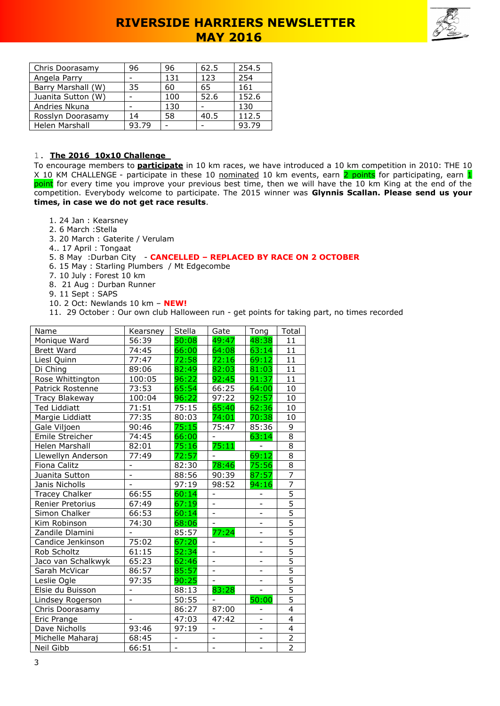

| Chris Doorasamy    | 96    | 96  | 62.5 | 254.5 |
|--------------------|-------|-----|------|-------|
| Angela Parry       |       | 131 | 123  | 254   |
| Barry Marshall (W) | 35    | 60  | 65   | 161   |
| Juanita Sutton (W) |       | 100 | 52.6 | 152.6 |
| Andries Nkuna      |       | 130 |      | 130   |
| Rosslyn Doorasamy  | 14    | 58  | 40.5 | 112.5 |
| Helen Marshall     | 93.79 |     |      | 93.79 |

### 1. **The 2016 10x10 Challenge**

To encourage members to **participate** in 10 km races, we have introduced a 10 km competition in 2010: THE 10 X 10 KM CHALLENGE - participate in these 10 nominated 10 km events, earn 2 points for participating, earn 1 <mark>point</mark> for every time you improve your previous best time, then we will have the 10 km King at the end of the competition. Everybody welcome to participate. The 2015 winner was **Glynnis Scallan. Please send us your times, in case we do not get race results**.

- 1. 24 Jan : Kearsney
- 2. 6 March :Stella

- 3. 20 March : Gaterite / Verulam
- 4.. 17 April : Tongaat

## 5. 8 May :Durban City - **CANCELLED – REPLACED BY RACE ON 2 OCTOBER**

- 6. 15 May : Starling Plumbers / Mt Edgecombe
- 7. 10 July : Forest 10 km
- 8. 21 Aug : Durban Runner
- 9. 11 Sept : SAPS
- 10. 2 Oct: Newlands 10 km **NEW!**
- 11. 29 October : Our own club Halloween run get points for taking part, no times recorded

| Name                  | Kearsney                 | Stella                       | Gate                     | Tong                         | Total          |
|-----------------------|--------------------------|------------------------------|--------------------------|------------------------------|----------------|
| Monique Ward          | 56:39                    | 50:08                        | 49:47                    | 48:38                        | 11             |
| <b>Brett Ward</b>     | 74:45                    | 66:00                        | 64:08                    | 63:14                        | 11             |
| Liesl Quinn           | 77:47                    | 72:58                        | 72:16                    | 69:12                        | 11             |
| Di Ching              | 89:06                    | 82:49                        | 82:03                    | 81:03                        | 11             |
| Rose Whittington      | 100:05                   | 96:22                        | 92:45                    | 91:37                        | 11             |
| Patrick Rostenne      | 73:53                    | 65:54                        | 66:25                    | 64:00                        | 10             |
| Tracy Blakeway        | 100:04                   | 96:22                        | 97:22                    | 92:57                        | 10             |
| <b>Ted Liddiatt</b>   | 71:51                    | 75:15                        | 65:40                    | 62:36                        | 10             |
| Margie Liddiatt       | 77:35                    | 80:03                        | 74:01                    | 70:38                        | 10             |
| Gale Viljoen          | 90:46                    | 75:15                        | 75:47                    | 85:36                        | 9              |
| Emile Streicher       | 74:45                    | 66:00                        |                          | 63:14                        | 8              |
| Helen Marshall        | 82:01                    | 75:16                        | 75:11                    |                              | $\overline{8}$ |
| Llewellyn Anderson    | 77:49                    | 72:57                        |                          | 69:12                        | 8              |
| Fiona Calitz          |                          | 82:30                        | 78:46                    | 75:56                        | $\overline{8}$ |
| Juanita Sutton        | $\overline{\phantom{0}}$ | 88:56                        | 90:39                    | 87:57                        | $\overline{7}$ |
| Janis Nicholls        |                          | 97:19                        | 98:52                    | 94:16                        | $\overline{7}$ |
| <b>Tracey Chalker</b> | 66:55                    | 60:14                        | ÷,                       |                              | $\overline{5}$ |
| Renier Pretorius      | 67:49                    | 67:19                        |                          |                              | $\overline{5}$ |
| Simon Chalker         | 66:53                    | 60:14                        |                          |                              | $\overline{5}$ |
| Kim Robinson          | 74:30                    | 68:06                        |                          |                              | $\overline{5}$ |
| Zandile Dlamini       |                          | 85:57                        | 77:24                    | $\overline{\phantom{0}}$     | $\overline{5}$ |
| Candice Jenkinson     | 75:02                    | 67:20                        | $\overline{\phantom{a}}$ | $\overline{\phantom{0}}$     | $\overline{5}$ |
| Rob Scholtz           | 61:15                    | 52:34                        |                          |                              | $\overline{5}$ |
| Jaco van Schalkwyk    | 65:23                    | 62:46                        |                          | $\overline{\phantom{0}}$     |                |
| Sarah McVicar         | 86:57                    | 85:57                        | $\overline{a}$           | $\qquad \qquad -$            | $\frac{5}{5}$  |
| Leslie Ogle           | 97:35                    | 90:25                        | $\overline{\phantom{0}}$ | ÷,                           | $\overline{5}$ |
| Elsie du Buisson      | $\overline{\phantom{0}}$ | 88:13                        | 83:28                    | $\overline{\phantom{0}}$     | $\overline{5}$ |
| Lindsey Rogerson      | $\overline{\phantom{0}}$ | 50:55                        |                          | 50:00                        | $\overline{5}$ |
| Chris Doorasamy       |                          | 86:27                        | 87:00                    |                              | $\overline{4}$ |
| Eric Prange           | $\overline{a}$           | 47:03                        | 47:42                    | $\overline{\phantom{a}}$     | $\overline{4}$ |
| Dave Nicholls         | 93:46                    | 97:19                        |                          | $\overline{\phantom{0}}$     | 4              |
| Michelle Maharaj      | 68:45                    | $\qquad \qquad \blacksquare$ | $\overline{\phantom{0}}$ | $\qquad \qquad \blacksquare$ | $\overline{2}$ |
| Neil Gibb             | 66:51                    | $\overline{\phantom{0}}$     | $\overline{\phantom{0}}$ | $\overline{\phantom{0}}$     | $\overline{2}$ |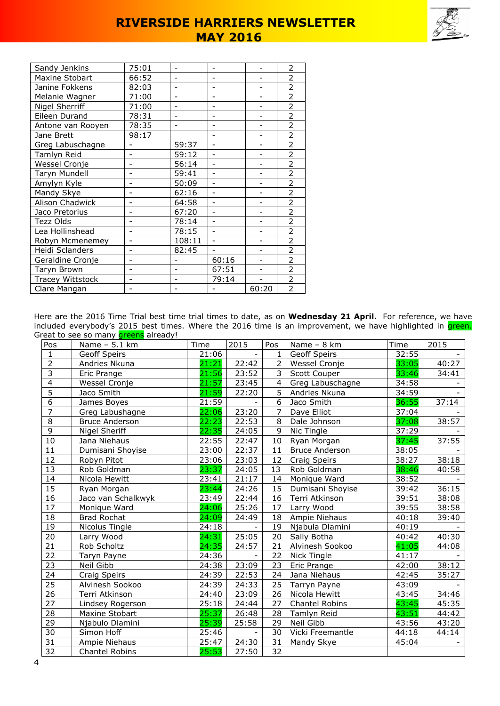

| Sandy Jenkins           | 75:01                    |                          |       |       | $\overline{2}$           |
|-------------------------|--------------------------|--------------------------|-------|-------|--------------------------|
| Maxine Stobart          | 66:52                    |                          |       |       | 2                        |
| Janine Fokkens          | 82:03                    | $\overline{\phantom{0}}$ |       |       | $\overline{2}$           |
| Melanie Wagner          | 71:00                    |                          |       |       | $\overline{2}$           |
| Nigel Sherriff          | 71:00                    | $\overline{a}$           |       |       | 2                        |
| Eileen Durand           | 78:31                    |                          |       |       | $\overline{\phantom{a}}$ |
| Antone van Rooyen       | 78:35                    | $\overline{a}$           |       |       | 2                        |
| Jane Brett              | 98:17                    |                          |       |       | $\overline{2}$           |
| Greg Labuschagne        |                          | 59:37                    |       |       | $\overline{2}$           |
| Tamlyn Reid             |                          | 59:12                    |       |       | $\overline{2}$           |
| Wessel Cronje           |                          | 56:14                    |       |       | $\overline{2}$           |
| Taryn Mundell           |                          | 59:41                    |       |       | $\overline{2}$           |
| Amylyn Kyle             |                          | 50:09                    |       |       | $\overline{2}$           |
| Mandy Skye              |                          | 62:16                    |       |       | $\overline{2}$           |
| Alison Chadwick         |                          | 64:58                    |       |       | $\overline{2}$           |
| Jaco Pretorius          | $\overline{\phantom{0}}$ | 67:20                    |       |       | $\overline{2}$           |
| Tezz Olds               |                          | 78:14                    |       |       | $\overline{2}$           |
| Lea Hollinshead         |                          | 78:15                    |       |       | $\overline{2}$           |
| Robyn Mcmenemey         |                          | 108:11                   |       |       | $\overline{2}$           |
| Heidi Sclanders         |                          | 82:45                    |       |       | $\overline{2}$           |
| Geraldine Cronje        |                          |                          | 60:16 |       | $\overline{2}$           |
| Taryn Brown             |                          |                          | 67:51 |       | $\overline{2}$           |
| <b>Tracey Wittstock</b> |                          |                          | 79:14 |       | $\overline{2}$           |
| Clare Mangan            |                          |                          |       | 60:20 | 2                        |

Here are the 2016 Time Trial best time trial times to date, as on **Wednesday 21 April.** For reference, we have included everybody's 2015 best times. Where the 2016 time is an improvement, we have highlighted in <mark>green.</mark> Great to see so many **greens** already!

| Pos             | Name - 5.1 km         | Time  | 2015  | Pos             | Name - 8 km           | Time  | 2015  |
|-----------------|-----------------------|-------|-------|-----------------|-----------------------|-------|-------|
| $\mathbf{1}$    | Geoff Speirs          | 21:06 |       | $\mathbf{1}$    | Geoff Speirs          | 32:55 |       |
| $\overline{2}$  | Andries Nkuna         | 21:21 | 22:42 | 2               | Wessel Cronje         | 33:05 | 40:27 |
| $\overline{3}$  | Eric Prange           | 21:56 | 23:52 | 3               | Scott Couper          | 33:46 | 34:41 |
| $\overline{4}$  | Wessel Cronje         | 21:57 | 23:45 | $\overline{4}$  | Greg Labuschagne      | 34:58 |       |
| $\overline{5}$  | Jaco Smith            | 21:59 | 22:20 | 5               | Andries Nkuna         | 34:59 |       |
| $\overline{6}$  | James Boyes           | 21:59 |       | 6               | Jaco Smith            | 36:55 | 37:14 |
| $\overline{7}$  | Greg Labushagne       | 22:06 | 23:20 | 7               | Dave Elliot           | 37:04 |       |
| $\overline{8}$  | <b>Bruce Anderson</b> | 22:23 | 22:53 | 8               | Dale Johnson          | 37:08 | 38:57 |
| 9               | Nigel Sheriff         | 22:35 | 24:05 | 9               | Nic Tingle            | 37:29 |       |
| 10              | Jana Niehaus          | 22:55 | 22:47 | 10              | Ryan Morgan           | 37:45 | 37:55 |
| 11              | Dumisani Shoyise      | 23:00 | 22:37 | 11              | <b>Bruce Anderson</b> | 38:05 |       |
| $\overline{12}$ | Robyn Pitot           | 23:06 | 23:03 | 12              | Craig Speirs          | 38:27 | 38:18 |
| $\overline{13}$ | Rob Goldman           | 23:37 | 24:05 | 13              | Rob Goldman           | 38:46 | 40:58 |
| 14              | Nicola Hewitt         | 23:41 | 21:17 | 14              | Monique Ward          | 38:52 |       |
| 15              | Ryan Morgan           | 23:44 | 24:26 | 15              | Dumisani Shoyise      | 39:42 | 36:15 |
| 16              | Jaco van Schalkwyk    | 23:49 | 22:44 | 16              | Terri Atkinson        | 39:51 | 38:08 |
| $\overline{17}$ | Monique Ward          | 24:06 | 25:26 | 17              | Larry Wood            | 39:55 | 38:58 |
| 18              | <b>Brad Rochat</b>    | 24:09 | 24:49 | 18              | Ampie Niehaus         | 40:18 | 39:40 |
| 19              | Nicolus Tingle        | 24:18 |       | 19              | Njabula Dlamini       | 40:19 |       |
| 20              | Larry Wood            | 24:31 | 25:05 | 20              | Sally Botha           | 40:42 | 40:30 |
| $\overline{21}$ | Rob Scholtz           | 24:35 | 24:57 | 21              | Alvinesh Sookoo       | 41:05 | 44:08 |
| $\overline{22}$ | Taryn Payne           | 24:36 |       | 22              | Nick Tingle           | 41:17 |       |
| 23              | Neil Gibb             | 24:38 | 23:09 | 23              | Eric Prange           | 42:00 | 38:12 |
| 24              | Craig Speirs          | 24:39 | 22:53 | 24              | Jana Niehaus          | 42:45 | 35:27 |
| 25              | Alvinesh Sookoo       | 24:39 | 24:33 | 25              | Tarryn Payne          | 43:09 |       |
| $\overline{26}$ | Terri Atkinson        | 24:40 | 23:09 | 26              | Nicola Hewitt         | 43:45 | 34:46 |
| 27              | Lindsey Rogerson      | 25:18 | 24:44 | 27              | Chantel Robins        | 43:45 | 45:35 |
| 28              | Maxine Stobart        | 25:37 | 26:48 | 28              | Tamlyn Reid           | 43:51 | 44:42 |
| $\overline{29}$ | Njabulo Dlamini       | 25:39 | 25:58 | 29              | Neil Gibb             | 43:56 | 43:20 |
| 30              | Simon Hoff            | 25:46 |       | 30              | Vicki Freemantle      | 44:18 | 44:14 |
| $\overline{31}$ | Ampie Niehaus         | 25:47 | 24:30 | 31              | Mandy Skye            | 45:04 |       |
| $\overline{32}$ | <b>Chantel Robins</b> | 25:53 | 27:50 | $\overline{32}$ |                       |       |       |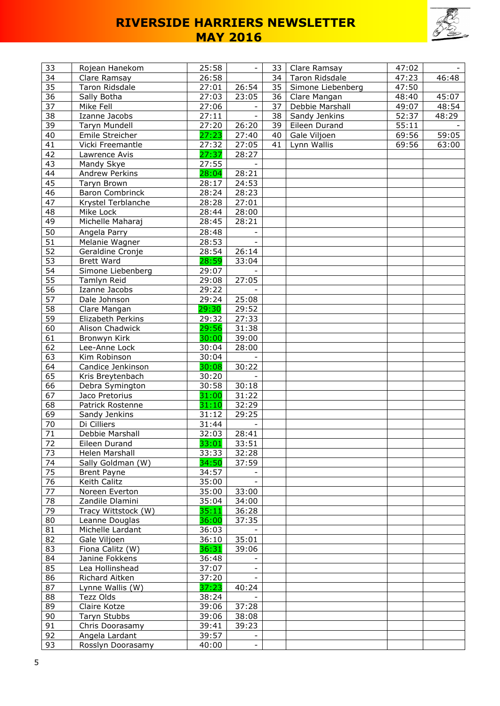

| 33              | Rojean Hanekom         | 25:58          |                | 33 | Clare Ramsay          | 47:02 |       |
|-----------------|------------------------|----------------|----------------|----|-----------------------|-------|-------|
| 34              | Clare Ramsay           | 26:58          |                | 34 | <b>Taron Ridsdale</b> | 47:23 | 46:48 |
| 35              | Taron Ridsdale         | 27:01          | 26:54          | 35 | Simone Liebenberg     | 47:50 |       |
| 36              | Sally Botha            | 27:03          | 23:05          | 36 | Clare Mangan          | 48:40 | 45:07 |
| 37              | Mike Fell              | 27:06          |                | 37 | Debbie Marshall       | 49:07 | 48:54 |
| 38              | Izanne Jacobs          | 27:11          | $\blacksquare$ | 38 | Sandy Jenkins         | 52:37 | 48:29 |
| $\overline{39}$ | <b>Taryn Mundell</b>   | 27:20          | 26:20          | 39 | Eileen Durand         | 55:11 |       |
| 40              | Emile Streicher        | 27:23          | 27:40          | 40 | Gale Viljoen          | 69:56 | 59:05 |
| 41              | Vicki Freemantle       | 27:32          | 27:05          | 41 | Lynn Wallis           | 69:56 | 63:00 |
| 42              | Lawrence Avis          | 27:37          | 28:27          |    |                       |       |       |
| 43              | Mandy Skye             | 27:55          |                |    |                       |       |       |
| 44              | Andrew Perkins         | 28:04          | 28:21          |    |                       |       |       |
| 45              | Taryn Brown            | 28:17          | 24:53          |    |                       |       |       |
| 46              | <b>Baron Combrinck</b> | 28:24          | 28:23          |    |                       |       |       |
| 47              | Krystel Terblanche     | 28:28          | 27:01          |    |                       |       |       |
| 48              | Mike Lock              | 28:44          | 28:00          |    |                       |       |       |
| 49              | Michelle Maharaj       | 28:45          | 28:21          |    |                       |       |       |
| 50              |                        | 28:48          |                |    |                       |       |       |
|                 | Angela Parry           |                |                |    |                       |       |       |
| 51              | Melanie Wagner         | 28:53          |                |    |                       |       |       |
| 52              | Geraldine Cronje       | 28:54          | 26:14          |    |                       |       |       |
| 53              | <b>Brett Ward</b>      | 28:59          | 33:04          |    |                       |       |       |
| 54              | Simone Liebenberg      | 29:07          |                |    |                       |       |       |
| 55              | Tamlyn Reid            | 29:08          | 27:05          |    |                       |       |       |
| 56              | Izanne Jacobs          | 29:22          |                |    |                       |       |       |
| 57              | Dale Johnson           | 29:24          | 25:08          |    |                       |       |       |
| 58              | Clare Mangan           | 29:30          | 29:52          |    |                       |       |       |
| 59              | Elizabeth Perkins      | 29:32          | 27:33          |    |                       |       |       |
| 60              | Alison Chadwick        | 29:56          | 31:38          |    |                       |       |       |
| 61              | Bronwyn Kirk           | 30:00          | 39:00          |    |                       |       |       |
| 62              | Lee-Anne Lock          | 30:04          | 28:00          |    |                       |       |       |
| 63              | Kim Robinson           | 30:04          |                |    |                       |       |       |
| 64              | Candice Jenkinson      | 30:08          | 30:22          |    |                       |       |       |
| 65              | Kris Breytenbach       | 30:20          |                |    |                       |       |       |
| 66              | Debra Symington        | 30:58          | 30:18          |    |                       |       |       |
| 67              | Jaco Pretorius         | 31:00          | 31:22          |    |                       |       |       |
| 68              | Patrick Rostenne       | 31:10          | 32:29          |    |                       |       |       |
| 69              | Sandy Jenkins          | 31:12          | 29:25          |    |                       |       |       |
| 70              | Di Cilliers            | 31:44          |                |    |                       |       |       |
| 71              | Debbie Marshall        | 32:03          | 28:41          |    |                       |       |       |
| 72              | Eileen Durand          | 33:01          | 33:51          |    |                       |       |       |
| $\overline{73}$ | Helen Marshall         | 33:33          | 32:28          |    |                       |       |       |
| 74              | Sally Goldman (W)      | 34:50          | 37:59          |    |                       |       |       |
| 75              | <b>Brent Payne</b>     | 34:57          |                |    |                       |       |       |
| 76              | Keith Calitz           | 35:00          |                |    |                       |       |       |
| 77              | Noreen Everton         | 35:00          | 33:00          |    |                       |       |       |
| 78              | Zandile Dlamini        | 35:04          | 34:00          |    |                       |       |       |
| 79              | Tracy Wittstock (W)    | 35:11          | 36:28          |    |                       |       |       |
| 80              | Leanne Douglas         | 36:00          | 37:35          |    |                       |       |       |
| 81              | Michelle Lardant       | 36:03          |                |    |                       |       |       |
| 82              | Gale Viljoen           | 36:10          | 35:01          |    |                       |       |       |
| 83              | Fiona Calitz (W)       | 36:31          | 39:06          |    |                       |       |       |
| 84              | Janine Fokkens         | 36:48          |                |    |                       |       |       |
| 85              | Lea Hollinshead        | 37:07          |                |    |                       |       |       |
| 86              | Richard Aitken         | 37:20          |                |    |                       |       |       |
| 87              | Lynne Wallis (W)       | 37:23          | 40:24          |    |                       |       |       |
| 88              | Tezz Olds              | 38:24          |                |    |                       |       |       |
|                 |                        |                |                |    |                       |       |       |
| 89<br>90        | Claire Kotze           | 39:06<br>39:06 | 37:28          |    |                       |       |       |
|                 | Taryn Stubbs           |                | 38:08          |    |                       |       |       |
| 91              | Chris Doorasamy        | 39:41          | 39:23          |    |                       |       |       |
| 92              | Angela Lardant         | 39:57          |                |    |                       |       |       |
| 93              | Rosslyn Doorasamy      | 40:00          |                |    |                       |       |       |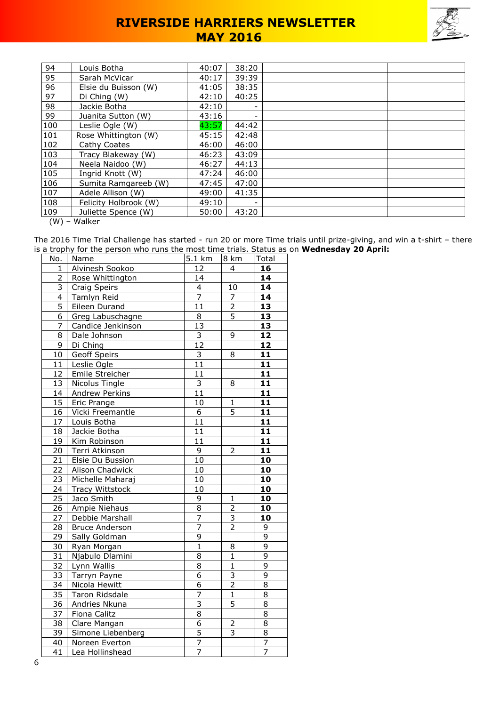

| 94  | Louis Botha           | 40:07 | 38:20 |  |  |  |
|-----|-----------------------|-------|-------|--|--|--|
| 95  | Sarah McVicar         | 40:17 | 39:39 |  |  |  |
| 96  | Elsie du Buisson (W)  | 41:05 | 38:35 |  |  |  |
| 97  | Di Ching (W)          | 42:10 | 40:25 |  |  |  |
| 98  | Jackie Botha          | 42:10 |       |  |  |  |
| 99  | Juanita Sutton (W)    | 43:16 |       |  |  |  |
| 100 | Leslie Ogle (W)       | 43:57 | 44:42 |  |  |  |
| 101 | Rose Whittington (W)  | 45:15 | 42:48 |  |  |  |
| 102 | Cathy Coates          | 46:00 | 46:00 |  |  |  |
| 103 | Tracy Blakeway (W)    | 46:23 | 43:09 |  |  |  |
| 104 | Neela Naidoo (W)      | 46:27 | 44:13 |  |  |  |
| 105 | Ingrid Knott (W)      | 47:24 | 46:00 |  |  |  |
| 106 | Sumita Ramgareeb (W)  | 47:45 | 47:00 |  |  |  |
| 107 | Adele Allison (W)     | 49:00 | 41:35 |  |  |  |
| 108 | Felicity Holbrook (W) | 49:10 |       |  |  |  |
| 109 | Juliette Spence (W)   | 50:00 | 43:20 |  |  |  |

(W) – Walker

The 2016 Time Trial Challenge has started - run 20 or more Time trials until prize-giving, and win a t-shirt – there is a trophy for the person who runs the most time trials. Status as on **Wednesday 20 April:**

| No.                     | <b>Name</b>                | 5.1 km                  | 8 km           | Total           |
|-------------------------|----------------------------|-------------------------|----------------|-----------------|
| $\mathbf{1}$            | Alvinesh Sookoo<br>4<br>12 |                         | 16             |                 |
| $\overline{2}$          | Rose Whittington           | 14                      |                | 14              |
| $\overline{3}$          | Craig Speirs               | $\overline{4}$          | 10             | $\overline{14}$ |
| $\overline{\mathbf{4}}$ | Tamlyn Reid                | $\overline{7}$          | $\overline{7}$ | 14              |
| 5                       | Eileen Durand              | 11                      | $\overline{2}$ | 13              |
| 6                       | Greg Labuschagne           | 8                       | $\overline{5}$ | $\overline{13}$ |
| $\overline{7}$          | Candice Jenkinson          | 13                      |                | 13              |
| 8                       | Dale Johnson               | $\overline{\mathbf{3}}$ | 9              | $\overline{12}$ |
| 9                       | Di Ching                   | $\overline{12}$         |                | $\overline{12}$ |
| $10\,$                  | <b>Geoff Speirs</b>        | $\overline{3}$          | 8              | $\overline{11}$ |
| 11                      | Leslie Ogle                | 11                      |                | 11              |
| 12                      | Emile Streicher            | $\overline{11}$         |                | 11              |
| 13                      | Nicolus Tingle             | $\overline{3}$          | 8              | $\overline{11}$ |
| 14                      | Andrew Perkins             | 11                      |                | 11              |
| 15                      | Eric Prange                | 10                      | 1              | 11              |
| 16                      | Vicki Freemantle           | 6                       | 5              | 11              |
| 17                      | Louis Botha                | $\overline{11}$         |                | $\overline{11}$ |
| 18                      | Jackie Botha               | 11                      |                | $\overline{11}$ |
| 19                      | Kim Robinson               | 11                      |                | 11              |
| 20                      | Terri Atkinson             | $\overline{9}$          | $\overline{2}$ | 11              |
| 21                      | Elsie Du Bussion           | 10                      |                | 10              |
| 22                      | Alison Chadwick            | 10                      |                | 10              |
| 23                      | Michelle Maharaj           | 10                      |                | 10              |
| 24                      | <b>Tracy Wittstock</b>     | 10                      |                | 10              |
| 25                      | Jaco Smith                 | 9                       | $\mathbf{1}$   | 10              |
| 26                      | <b>Ampie Niehaus</b>       | $\overline{8}$          | $\overline{2}$ | 10              |
| 27                      | Debbie Marshall            | 7                       | $\overline{3}$ | 10              |
| $\overline{28}$         | <b>Bruce Anderson</b>      | $\overline{7}$          | $\overline{2}$ | 9               |
| 29                      | Sally Goldman              | $\overline{9}$          |                | 9               |
| 30                      | Ryan Morgan                | $\overline{1}$          | 8              | $\overline{9}$  |
| 31                      | Njabulo Dlamini            | 8                       | $\mathbf{1}$   | 9               |
| 32                      | Lynn Wallis                | 8                       | $\mathbf{1}$   | $\overline{9}$  |
| 33                      | Tarryn Payne               | 6                       | $\overline{3}$ | 9               |
| 34                      | Nicola Hewitt              | 6                       | $\overline{2}$ | 8               |
| 35                      | Taron Ridsdale             | $\overline{7}$          | $\overline{1}$ | 8               |
| 36                      | Andries Nkuna              | $\overline{3}$          | $\overline{5}$ | $\overline{8}$  |
| $\overline{37}$         | <b>Fiona Calitz</b>        | $\overline{8}$          |                | $\overline{8}$  |
| 38                      | Clare Mangan               | 6                       | 2              | 8               |
| 39                      | Simone Liebenberg          | 5                       | $\overline{3}$ | $\overline{8}$  |
| 40                      | Noreen Everton             | $\overline{7}$          |                | 7               |
| 41                      | Lea Hollinshead            | $\overline{7}$          |                | 7               |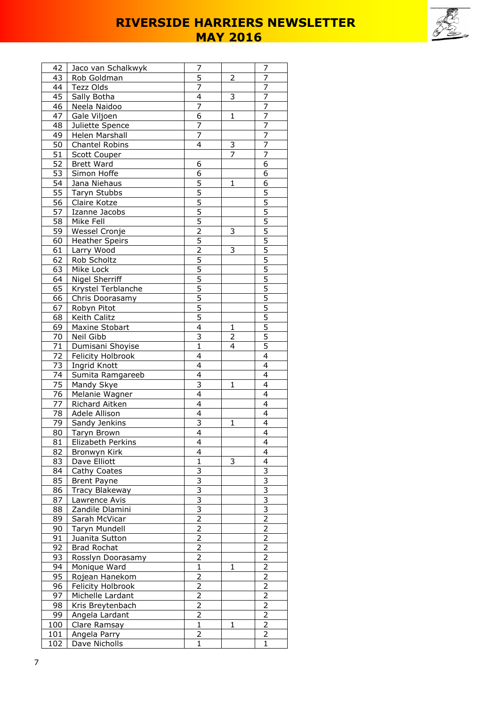

| 42       | Jaco van Schalkwyk                | 7                                |              | 7                                |
|----------|-----------------------------------|----------------------------------|--------------|----------------------------------|
| 43       | Rob Goldman                       | 5                                | 2            | 7                                |
| 44       | Tezz Olds                         | 7                                |              | 7                                |
| 45       | Sally Botha                       | $\overline{4}$                   | 3            | $\overline{7}$                   |
| 46       | Neela Naidoo                      | $\overline{7}$                   |              | $\overline{7}$                   |
| 47       | Gale Viljoen                      | 6                                | 1            | 7                                |
| 48       | Juliette Spence                   | 7                                |              | 7                                |
| 49       | Helen Marshall                    | $\overline{7}$                   |              | $\overline{7}$                   |
| 50       | Chantel Robins                    | 4                                | 3            | 7                                |
| 51       | Scott Couper                      |                                  | 7            | 7                                |
| 52       | <b>Brett Ward</b>                 | 6                                |              | 6                                |
| 53       | Simon Hoffe                       | $\overline{6}$                   |              | $\overline{6}$                   |
| 54       | Jana Niehaus                      | 5                                | 1            | 6                                |
| 55       | Taryn Stubbs                      | 5                                |              | 5                                |
| 56       | Claire Kotze                      | $\overline{5}$                   |              | $\overline{5}$                   |
| 57       | Izanne Jacobs                     | 5                                |              | 5                                |
| 58       | Mike Fell                         | 5                                |              | 5                                |
| 59       | Wessel Cronje                     | 2                                | 3            | $\overline{5}$                   |
| 60       | <b>Heather Speirs</b>             | $\overline{5}$                   |              | $\overline{5}$                   |
| 61       | Larry Wood                        | $\overline{2}$                   | 3            | $\overline{5}$                   |
| 62       | Rob Scholtz                       | $\overline{5}$                   |              | $\overline{5}$                   |
| 63       | Mike Lock                         | 5                                |              | $\overline{5}$                   |
| 64       | Nigel Sherriff                    | $\overline{5}$                   |              | $\overline{5}$                   |
| 65       | Krystel Terblanche                | $\overline{5}$                   |              | $\overline{5}$                   |
| 66       | Chris Doorasamy                   | 5                                |              | 5                                |
| 67       | Robyn Pitot                       | 5                                |              | 5                                |
| 68       | Keith Calitz                      | 5                                |              |                                  |
| 69       | Maxine Stobart                    | $\overline{4}$                   | $\mathbf{1}$ | $\frac{5}{5}$                    |
|          | Neil Gibb                         | 3                                |              | $\overline{5}$                   |
| 70<br>71 | Dumisani Shoyise                  | $\mathbf{1}$                     | 2<br>4       | 5                                |
| 72       |                                   | 4                                |              | $\overline{4}$                   |
| 73       | Felicity Holbrook<br>Ingrid Knott | $\overline{4}$                   |              | $\overline{4}$                   |
| 74       | Sumita Ramgareeb                  | 4                                |              | 4                                |
| 75       | Mandy Skye                        | 3                                | 1            | 4                                |
| 76       |                                   | 4                                |              | 4                                |
| 77       | Melanie Wagner<br>Richard Aitken  | 4                                |              | $\overline{4}$                   |
| 78       | Adele Allison                     | 4                                |              | $\overline{4}$                   |
| 79       | Sandy Jenkins                     | 3                                | 1            | 4                                |
|          |                                   | 4                                |              | 4                                |
| 80       | Taryn Brown                       |                                  |              |                                  |
| 81       | Elizabeth Perkins                 | 4<br>4                           |              | 4<br>4                           |
| 82       | Bronwyn Kirk                      |                                  |              | 4                                |
| 83       | Dave Elliott                      | $\mathbf{1}$                     | 3            |                                  |
| 84       | Cathy Coates                      | $\overline{3}$<br>$\overline{3}$ |              | $\overline{3}$<br>$\overline{3}$ |
| 85       | Brent Payne                       | $\overline{3}$                   |              | $\overline{3}$                   |
| 86       | Tracy Blakeway                    |                                  |              |                                  |
| 87       | Lawrence Avis                     | 3<br>$\overline{3}$              |              | 3<br>$\overline{3}$              |
| 88       | Zandile Dlamini                   |                                  |              |                                  |
| 89       | Sarah McVicar                     | $\overline{2}$                   |              | $\overline{2}$                   |
| 90       | Taryn Mundell                     | 2                                |              | $\overline{2}$                   |
| 91       | Juanita Sutton                    | $\overline{2}$                   |              | $\overline{2}$                   |
| 92       | <b>Brad Rochat</b>                | $\overline{2}$                   |              | $\overline{2}$                   |
| 93       | Rosslyn Doorasamy                 | 2                                |              | 2                                |
| 94       | Monique Ward                      | $\mathbf{1}$                     | 1            | $\overline{c}$                   |
| 95       | Rojean Hanekom                    | $\frac{2}{2}$                    |              | $\frac{2}{2}$                    |
| 96       | Felicity Holbrook                 |                                  |              |                                  |
| 97       | Michelle Lardant                  | $\overline{2}$                   |              | $\overline{2}$                   |
| 98       | Kris Breytenbach                  | $\overline{2}$                   |              | $\overline{2}$                   |
| 99       | Angela Lardant                    | $\overline{2}$                   |              | $\overline{2}$                   |
| 100      | Clare Ramsay                      | $\mathbf{1}$                     | $\mathbf{1}$ | $\overline{2}$                   |
| 101      | Angela Parry                      | 2                                |              | 2                                |
| 102      | Dave Nicholls                     | $\mathbf{1}$                     |              | 1                                |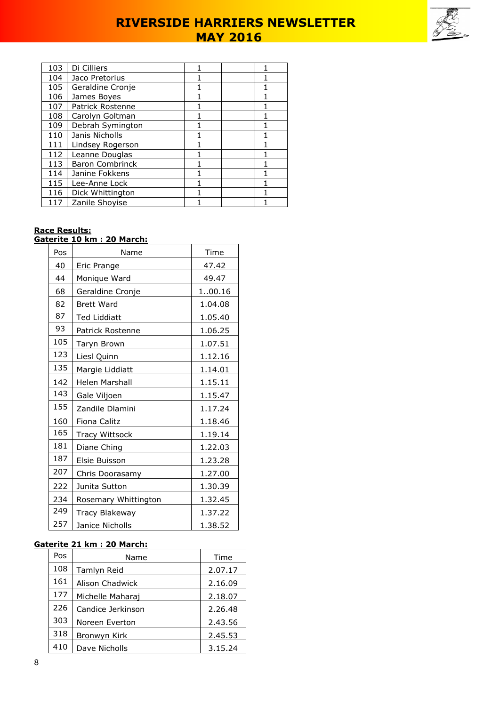

| 103 | Di Cilliers            |  |  |
|-----|------------------------|--|--|
| 104 | Jaco Pretorius         |  |  |
| 105 | Geraldine Cronje       |  |  |
| 106 | James Boyes            |  |  |
| 107 | Patrick Rostenne       |  |  |
| 108 | Carolyn Goltman        |  |  |
| 109 | Debrah Symington       |  |  |
| 110 | Janis Nicholls         |  |  |
| 111 | Lindsey Rogerson       |  |  |
| 112 | Leanne Douglas         |  |  |
| 113 | <b>Baron Combrinck</b> |  |  |
| 114 | Janine Fokkens         |  |  |
| 115 | Lee-Anne Lock          |  |  |
| 116 | Dick Whittington       |  |  |
| 117 | Zanile Shoyise         |  |  |

## **Race Results:**

|     | <u> Gaterite 10 km : 20 March:</u> |         |
|-----|------------------------------------|---------|
| Pos | Name                               | Time    |
| 40  | Eric Prange                        | 47.42   |
| 44  | Monique Ward                       | 49.47   |
| 68  | Geraldine Cronje                   | 100.16  |
| 82  | <b>Brett Ward</b>                  | 1.04.08 |
| 87  | <b>Ted Liddiatt</b>                | 1.05.40 |
| 93  | Patrick Rostenne                   | 1.06.25 |
| 105 | Taryn Brown                        | 1.07.51 |
| 123 | Liesl Quinn                        | 1.12.16 |
| 135 | Margie Liddiatt                    | 1.14.01 |
| 142 | Helen Marshall                     | 1.15.11 |
| 143 | Gale Viljoen                       | 1.15.47 |
| 155 | Zandile Dlamini                    | 1.17.24 |
| 160 | Fiona Calitz                       | 1.18.46 |
| 165 | <b>Tracy Wittsock</b>              | 1.19.14 |
| 181 | Diane Ching                        | 1.22.03 |
| 187 | Elsie Buisson                      | 1.23.28 |
| 207 | Chris Doorasamy                    | 1.27.00 |
| 222 | Junita Sutton                      | 1.30.39 |
| 234 | Rosemary Whittington               | 1.32.45 |
| 249 | <b>Tracy Blakeway</b>              | 1.37.22 |
| 257 | Janice Nicholls                    | 1.38.52 |

### **Gaterite 21 km : 20 March:**

| Pos | Name              | Time    |
|-----|-------------------|---------|
| 108 | Tamlyn Reid       | 2.07.17 |
| 161 | Alison Chadwick   | 2.16.09 |
| 177 | Michelle Maharaj  | 2.18.07 |
| 226 | Candice Jerkinson | 2.26.48 |
| 303 | Noreen Everton    | 2.43.56 |
| 318 | Bronwyn Kirk      | 2.45.53 |
| 410 | Dave Nicholls     | 3.15.24 |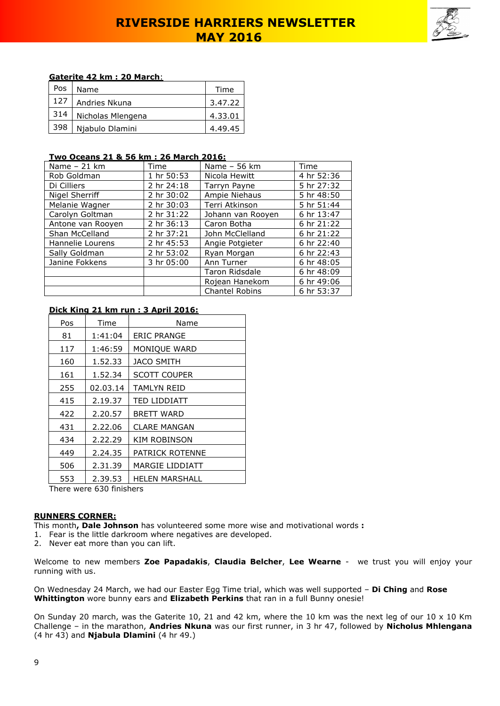

### **Gaterite 42 km : 20 March**:

| Pos | Name              | Time    |
|-----|-------------------|---------|
| 127 | Andries Nkuna     | 3.47.22 |
| 314 | Nicholas Mlengena | 4,33,01 |
| 398 | Njabulo Dlamini   | 4.49.45 |

#### **Two Oceans 21 & 56 km : 26 March 2016:**

| Name $-21$ km     | Time       | Name - 56 km          | Time       |
|-------------------|------------|-----------------------|------------|
| Rob Goldman       | 1 hr 50:53 | Nicola Hewitt         | 4 hr 52:36 |
| Di Cilliers       | 2 hr 24:18 | Tarryn Payne          | 5 hr 27:32 |
| Nigel Sherriff    | 2 hr 30:02 | Ampie Niehaus         | 5 hr 48:50 |
| Melanie Wagner    | 2 hr 30:03 | Terri Atkinson        | 5 hr 51:44 |
| Carolyn Goltman   | 2 hr 31:22 | Johann van Rooyen     | 6 hr 13:47 |
| Antone van Rooyen | 2 hr 36:13 | Caron Botha           | 6 hr 21:22 |
| Shan McCelland    | 2 hr 37:21 | John McClelland       | 6 hr 21:22 |
| Hannelie Lourens  | 2 hr 45:53 | Angie Potgieter       | 6 hr 22:40 |
| Sally Goldman     | 2 hr 53:02 | Ryan Morgan           | 6 hr 22:43 |
| Janine Fokkens    | 3 hr 05:00 | Ann Turner            | 6 hr 48:05 |
|                   |            | <b>Taron Ridsdale</b> | 6 hr 48:09 |
|                   |            | Rojean Hanekom        | 6 hr 49:06 |
|                   |            | <b>Chantel Robins</b> | 6 hr 53:37 |

### **Dick King 21 km run : 3 April 2016:**

| Pos | Time     | Name                |
|-----|----------|---------------------|
| 81  | 1:41:04  | <b>ERIC PRANGE</b>  |
| 117 | 1:46:59  | MONIQUE WARD        |
| 160 | 1.52.33  | <b>JACO SMITH</b>   |
| 161 | 1.52.34  | <b>SCOTT COUPER</b> |
| 255 | 02.03.14 | <b>TAMLYN REID</b>  |
| 415 | 2.19.37  | TED LIDDIATT        |
| 422 | 2.20.57  | <b>BRETT WARD</b>   |
| 431 | 2.22.06  | <b>CLARE MANGAN</b> |
| 434 | 2.22.29  | <b>KIM ROBINSON</b> |
| 449 | 2.24.35  | PATRICK ROTENNE     |
| 506 | 2.31.39  | MARGIE LIDDIATT     |
| 553 | 2.39.53  | HELEN MARSHALL      |

There were 630 finishers

### **RUNNERS CORNER:**

This month**, Dale Johnson** has volunteered some more wise and motivational words **:** 

- 1. Fear is the little darkroom where negatives are developed.
- 2. Never eat more than you can lift.

Welcome to new members **Zoe Papadakis**, **Claudia Belcher**, **Lee Wearne** - we trust you will enjoy your running with us.

On Wednesday 24 March, we had our Easter Egg Time trial, which was well supported – **Di Ching** and **Rose Whittington** wore bunny ears and **Elizabeth Perkins** that ran in a full Bunny onesie!

On Sunday 20 march, was the Gaterite 10, 21 and 42 km, where the 10 km was the next leg of our 10 x 10 Km Challenge – in the marathon, **Andries Nkuna** was our first runner, in 3 hr 47, followed by **Nicholus Mhlengana** (4 hr 43) and **Njabula Dlamini** (4 hr 49.)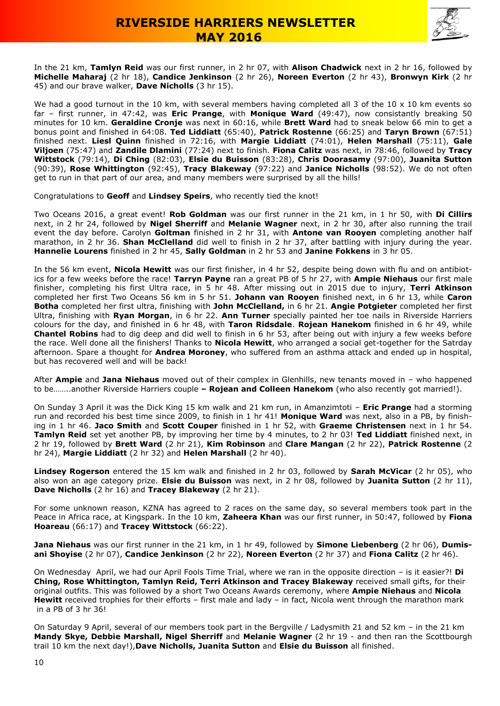



In the 21 km, **Tamlyn Reid** was our first runner, in 2 hr 07, with **Alison Chadwick** next in 2 hr 16, followed by **Michelle Maharaj** (2 hr 18), **Candice Jenkinson** (2 hr 26), **Noreen Everton** (2 hr 43), **Bronwyn Kirk** (2 hr 45) and our brave walker, **Dave Nicholls** (3 hr 15).

We had a good turnout in the 10 km, with several members having completed all 3 of the 10 x 10 km events so far – first runner, in 47:42, was **Eric Prange**, with **Monique Ward** (49:47), now consistantly breaking 50 minutes for 10 km. **Geraldine Cronje** was next in 60:16, while **Brett Ward** had to sneak below 66 min to get a bonus point and finished in 64:08. **Ted Liddiatt** (65:40), **Patrick Rostenne** (66:25) and **Taryn Brown** (67:51) finished next. **Liesl Quinn** finished in 72:16, with **Margie Liddiatt** (74:01), **Helen Marshall** (75:11), **Gale Viljoen** (75:47) and **Zandile Dlamini** (77:24) next to finish. **Fiona Calitz** was next, in 78:46, followed by **Tracy Wittstock** (79:14), **Di Ching** (82:03), **Elsie du Buisson** (83:28), **Chris Doorasamy** (97:00), **Juanita Sutton** (90:39), **Rose Whittington** (92:45), **Tracy Blakeway** (97:22) and **Janice Nicholls** (98:52). We do not often get to run in that part of our area, and many members were surprised by all the hills!

Congratulations to **Geoff** and **Lindsey Speirs**, who recently tied the knot!

Two Oceans 2016, a great event! **Rob Goldman** was our first runner in the 21 km, in 1 hr 50, with **Di Cillirs**  next, in 2 hr 24, followed by **Nigel Sherriff** and **Melanie Wagner** next, in 2 hr 30, after also running the trail event the day before. Carolyn **Goltman** finished in 2 hr 31, with **Antone van Rooyen** completing another half marathon, in 2 hr 36. **Shan McClelland** did well to finish in 2 hr 37, after battling with injury during the year. **Hannelie Lourens** finished in 2 hr 45, **Sally Goldman** in 2 hr 53 and **Janine Fokkens** in 3 hr 05.

In the 56 km event, **Nicola Hewitt** was our first finisher, in 4 hr 52, despite being down with flu and on antibiotics for a few weeks before the race! **Tarryn Payne** ran a great PB of 5 hr 27, with **Ampie Niehaus** our first male finisher, completing his first Ultra race, in 5 hr 48. After missing out in 2015 due to injury, **Terri Atkinson** completed her first Two Oceans 56 km in 5 hr 51. **Johann van Rooyen** finished next, in 6 hr 13, while **Caron Botha** completed her first ultra, finishing with **John McClelland,** in 6 hr 21. **Angie Potgieter** completed her first Ultra, finishing with **Ryan Morgan**, in 6 hr 22. **Ann Turner** specially painted her toe nails in Riverside Harriers colours for the day, and finished in 6 hr 48, with **Taron Ridsdale**. **Rojean Hanekom** finished in 6 hr 49, while **Chantel Robins** had to dig deep and did well to finish in 6 hr 53, after being out with injury a few weeks before the race. Well done all the finishers! Thanks to **Nicola Hewitt**, who arranged a social get-together for the Satrday afternoon. Spare a thought for **Andrea Moroney**, who suffered from an asthma attack and ended up in hospital, but has recovered well and will be back!

After **Ampie** and **Jana Niehaus** moved out of their complex in Glenhills, new tenants moved in – who happened to be……..another Riverside Harriers couple **– Rojean and Colleen Hanekom** (who also recently got married!).

On Sunday 3 April it was the Dick King 15 km walk and 21 km run, in Amanzimtoti – **Eric Prange** had a storming run and recorded his best time since 2009, to finish in 1 hr 41! **Monique Ward** was next, also in a PB, by finishing in 1 hr 46. **Jaco Smith** and **Scott Couper** finished in 1 hr 52, with **Graeme Christensen** next in 1 hr 54. **Tamlyn Reid** set yet another PB, by improving her time by 4 minutes, to 2 hr 03! **Ted Liddiatt** finished next, in 2 hr 19, followed by **Brett Ward** (2 hr 21), **Kim Robinson** and **Clare Mangan** (2 hr 22), **Patrick Rostenne** (2 hr 24), **Margie Liddiatt** (2 hr 32) and **Helen Marshall** (2 hr 40).

**Lindsey Rogerson** entered the 15 km walk and finished in 2 hr 03, followed by **Sarah McVicar** (2 hr 05), who also won an age category prize. **Elsie du Buisson** was next, in 2 hr 08, followed by **Juanita Sutton** (2 hr 11), **Dave Nicholls** (2 hr 16) and **Tracey Blakeway** (2 hr 21).

For some unknown reason, KZNA has agreed to 2 races on the same day, so several members took part in the Peace in Africa race, at Kingspark. In the 10 km, **Zaheera Khan** was our first runner, in 50:47, followed by **Fiona Hoareau** (66:17) and **Tracey Wittstock** (66:22).

**Jana Niehaus** was our first runner in the 21 km, in 1 hr 49, followed by **Simone Liebenberg** (2 hr 06), **Dumisani Shoyise** (2 hr 07), **Candice Jenkinson** (2 hr 22), **Noreen Everton** (2 hr 37) and **Fiona Calitz** (2 hr 46).

On Wednesday April, we had our April Fools Time Trial, where we ran in the opposite direction – is it easier?! **Di Ching, Rose Whittington, Tamlyn Reid, Terri Atkinson and Tracey Blakeway** received small gifts, for their original outfits. This was followed by a short Two Oceans Awards ceremony, where **Ampie Niehaus** and **Nicola Hewitt** received trophies for their efforts – first male and lady – in fact, Nicola went through the marathon mark in a PB of 3 hr 36!

On Saturday 9 April, several of our members took part in the Bergville / Ladysmith 21 and 52 km – in the 21 km **Mandy Skye, Debbie Marshall, Nigel Sherriff** and **Melanie Wagner** (2 hr 19 - and then ran the Scottbourgh trail 10 km the next day!),**Dave Nicholls, Juanita Sutton** and **Elsie du Buisson** all finished.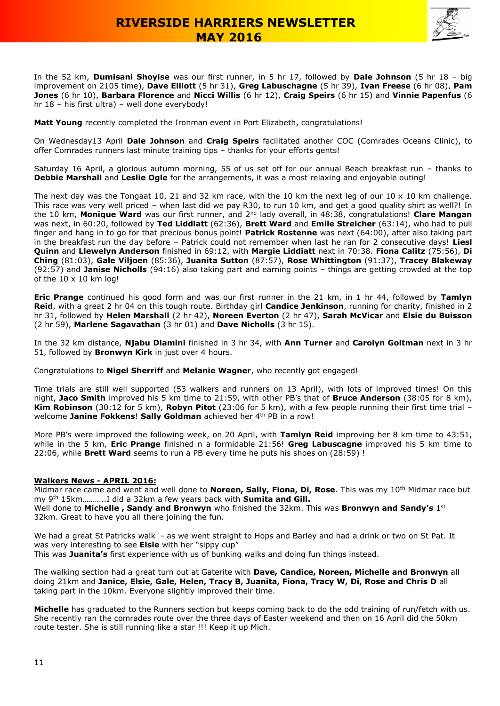

In the 52 km, **Dumisani Shoyise** was our first runner, in 5 hr 17, followed by **Dale Johnson** (5 hr 18 – big improvement on 2105 time), **Dave Elliott** (5 hr 31), **Greg Labuschagne** (5 hr 39), **Ivan Freese** (6 hr 08), **Pam Jones** (6 hr 10), **Barbara Florence** and **Nicci Willis** (6 hr 12), **Craig Speirs** (6 hr 15) and **Vinnie Papenfus** (6 hr 18 – his first ultra) – well done everybody!

**Matt Young** recently completed the Ironman event in Port Elizabeth, congratulations!

On Wednesday13 April **Dale Johnson** and **Craig Speirs** facilitated another COC (Comrades Oceans Clinic), to offer Comrades runners last minute training tips – thanks for your efforts gents!

Saturday 16 April, a glorious autumn morning, 55 of us set off for our annual Beach breakfast run – thanks to **Debbie Marshall** and **Leslie Ogle** for the arrangements, it was a most relaxing and enjoyable outing!

The next day was the Tongaat 10, 21 and 32 km race, with the 10 km the next leg of our  $10 \times 10$  km challenge. This race was very well priced – when last did we pay R30, to run 10 km, and get a good quality shirt as well?! In the 10 km, **Monique Ward** was our first runner, and 2nd lady overall, in 48:38, congratulations! **Clare Mangan** was next, in 60:20, followed by **Ted Liddiatt** (62:36), **Brett Ward** and **Emile Streicher** (63:14), who had to pull finger and hang in to go for that precious bonus point! **Patrick Rostenne** was next (64:00), after also taking part in the breakfast run the day before – Patrick could not remember when last he ran for 2 consecutive days! **Liesl Quinn** and **Llewelyn Anderson** finished in 69:12, with **Margie Liddiatt** next in 70:38. **Fiona Calitz** (75:56), **Di Ching** (81:03), **Gale Viljoen** (85:36), **Juanita Sutton** (87:57), **Rose Whittington** (91:37), **Tracey Blakeway** (92:57) and **Janise Nicholls** (94:16) also taking part and earning points – things are getting crowded at the top of the 10 x 10 km log!

**Eric Prange** continued his good form and was our first runner in the 21 km, in 1 hr 44, followed by **Tamlyn Reid**, with a great 2 hr 04 on this tough route. Birthday girl **Candice Jenkinson**, running for charity, finished in 2 hr 31, followed by **Helen Marshall** (2 hr 42), **Noreen Everton** (2 hr 47), **Sarah McVicar** and **Elsie du Buisson** (2 hr 59), **Marlene Sagavathan** (3 hr 01) and **Dave Nicholls** (3 hr 15).

In the 32 km distance, **Njabu Dlamini** finished in 3 hr 34, with **Ann Turner** and **Carolyn Goltman** next in 3 hr 51, followed by **Bronwyn Kirk** in just over 4 hours.

Congratulations to **Nigel Sherriff** and **Melanie Wagner**, who recently got engaged!

Time trials are still well supported (53 walkers and runners on 13 April), with lots of improved times! On this night, **Jaco Smith** improved his 5 km time to 21:59, with other PB's that of **Bruce Anderson** (38:05 for 8 km), **Kim Robinson** (30:12 for 5 km), **Robyn Pitot** (23:06 for 5 km), with a few people running their first time trial – welcome **Janine Fokkens**! **Sally Goldman** achieved her 4th PB in a row!

More PB's were improved the following week, on 20 April, with **Tamlyn Reid** improving her 8 km time to 43:51, while in the 5 km, **Eric Prange** finished n a formidable 21:56! **Greg Labuscagne** improved his 5 km time to 22:06, while **Brett Ward** seems to run a PB every time he puts his shoes on (28:59) !

#### **Walkers News - APRIL 2016:**

Midmar race came and went and well done to **Noreen, Sally, Fiona, Di, Rose**. This was my 10th Midmar race but my 9th 15km………..I did a 32km a few years back with **Sumita and Gill.**

Well done to Michelle, Sandy and Bronwyn who finished the 32km. This was Bronwyn and Sandy's 1st 32km. Great to have you all there joining the fun.

We had a great St Patricks walk - as we went straight to Hops and Barley and had a drink or two on St Pat. It was very interesting to see **Elsie** with her "sippy cup"

This was **Juanita's** first experience with us of bunking walks and doing fun things instead.

The walking section had a great turn out at Gaterite with **Dave, Candice, Noreen, Michelle and Bronwyn** all doing 21km and **Janice, Elsie, Gale, Helen, Tracy B, Juanita, Fiona, Tracy W, Di, Rose and Chris D** all taking part in the 10km. Everyone slightly improved their time.

**Michelle** has graduated to the Runners section but keeps coming back to do the odd training of run/fetch with us. She recently ran the comrades route over the three days of Easter weekend and then on 16 April did the 50km route tester. She is still running like a star !!! Keep it up Mich.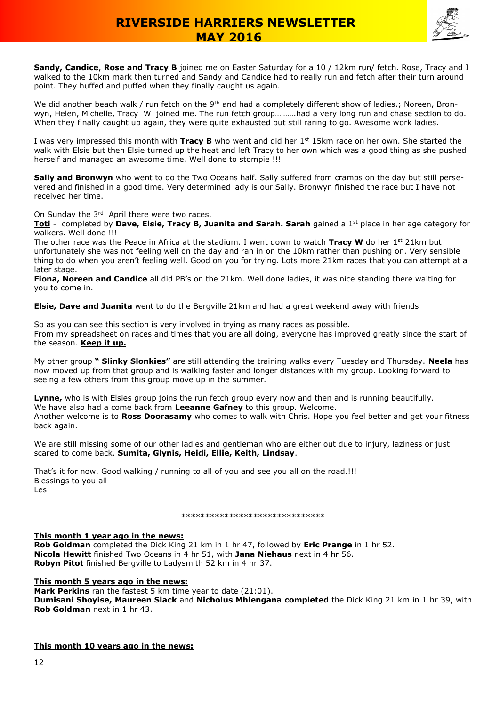

**Sandy, Candice**, **Rose and Tracy B** joined me on Easter Saturday for a 10 / 12km run/ fetch. Rose, Tracy and I walked to the 10km mark then turned and Sandy and Candice had to really run and fetch after their turn around point. They huffed and puffed when they finally caught us again.

We did another beach walk / run fetch on the 9<sup>th</sup> and had a completely different show of ladies.; Noreen, Bronwyn, Helen, Michelle, Tracy W joined me. The run fetch group……….had a very long run and chase section to do. When they finally caught up again, they were quite exhausted but still raring to go. Awesome work ladies.

I was very impressed this month with **Tracy B** who went and did her 1st 15km race on her own. She started the walk with Elsie but then Elsie turned up the heat and left Tracy to her own which was a good thing as she pushed herself and managed an awesome time. Well done to stompie !!!

**Sally and Bronwyn** who went to do the Two Oceans half. Sally suffered from cramps on the day but still persevered and finished in a good time. Very determined lady is our Sally. Bronwyn finished the race but I have not received her time.

On Sunday the 3<sup>rd</sup> April there were two races.

**Toti** - completed by **Dave, Elsie, Tracy B, Juanita and Sarah. Sarah** gained a 1st place in her age category for walkers. Well done !!!

The other race was the Peace in Africa at the stadium. I went down to watch **Tracy W** do her 1st 21km but unfortunately she was not feeling well on the day and ran in on the 10km rather than pushing on. Very sensible thing to do when you aren't feeling well. Good on you for trying. Lots more 21km races that you can attempt at a later stage.

**Fiona, Noreen and Candice** all did PB's on the 21km. Well done ladies, it was nice standing there waiting for you to come in.

**Elsie, Dave and Juanita** went to do the Bergville 21km and had a great weekend away with friends

So as you can see this section is very involved in trying as many races as possible. From my spreadsheet on races and times that you are all doing, everyone has improved greatly since the start of the season. **Keep it up.**

My other group **" Slinky Slonkies"** are still attending the training walks every Tuesday and Thursday. **Neela** has now moved up from that group and is walking faster and longer distances with my group. Looking forward to seeing a few others from this group move up in the summer.

**Lynne,** who is with Elsies group joins the run fetch group every now and then and is running beautifully. We have also had a come back from **Leeanne Gafney** to this group. Welcome. Another welcome is to **Ross Doorasamy** who comes to walk with Chris. Hope you feel better and get your fitness back again.

We are still missing some of our other ladies and gentleman who are either out due to injury, laziness or just scared to come back. **Sumita, Glynis, Heidi, Ellie, Keith, Lindsay**.

That's it for now. Good walking / running to all of you and see you all on the road.!!! Blessings to you all Les

#### \*\*\*\*\*\*\*\*\*\*\*\*\*\*\*\*\*\*\*\*\*\*\*\*\*\*\*\*\*\*

#### **This month 1 year ago in the news:**

**Rob Goldman** completed the Dick King 21 km in 1 hr 47, followed by **Eric Prange** in 1 hr 52. **Nicola Hewitt** finished Two Oceans in 4 hr 51, with **Jana Niehaus** next in 4 hr 56. **Robyn Pitot** finished Bergville to Ladysmith 52 km in 4 hr 37.

#### **This month 5 years ago in the news:**

**Mark Perkins** ran the fastest 5 km time year to date (21:01).

**Dumisani Shoyise, Maureen Slack** and **Nicholus Mhlengana completed** the Dick King 21 km in 1 hr 39, with **Rob Goldman** next in 1 hr 43.

### **This month 10 years ago in the news:**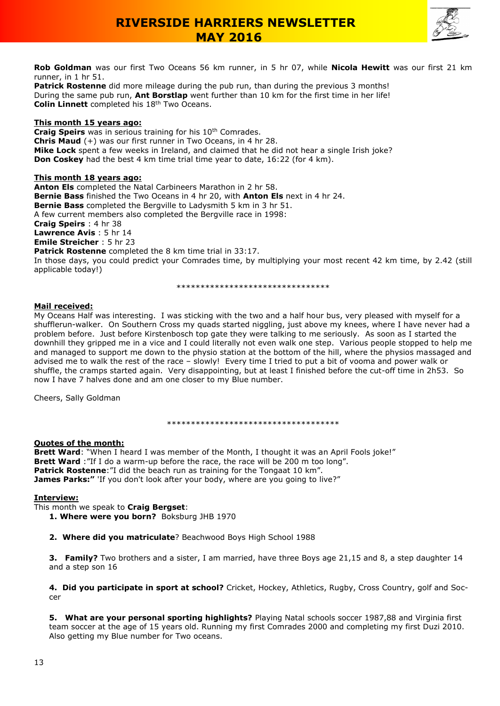

**Rob Goldman** was our first Two Oceans 56 km runner, in 5 hr 07, while **Nicola Hewitt** was our first 21 km runner, in 1 hr 51.

**Patrick Rostenne** did more mileage during the pub run, than during the previous 3 months! During the same pub run, **Ant Borstlap** went further than 10 km for the first time in her life! **Colin Linnett** completed his 18<sup>th</sup> Two Oceans.

### **This month 15 years ago:**

**Craig Speirs** was in serious training for his 10<sup>th</sup> Comrades. **Chris Maud** (+) was our first runner in Two Oceans, in 4 hr 28. **Mike Lock** spent a few weeks in Ireland, and claimed that he did not hear a single Irish joke? **Don Coskey** had the best 4 km time trial time year to date, 16:22 (for 4 km).

### **This month 18 years ago:**

**Anton Els** completed the Natal Carbineers Marathon in 2 hr 58. **Bernie Bass** finished the Two Oceans in 4 hr 20, with **Anton Els** next in 4 hr 24. **Bernie Bass** completed the Bergville to Ladysmith 5 km in 3 hr 51. A few current members also completed the Bergville race in 1998: **Craig Speirs** : 4 hr 38 **Lawrence Avis** : 5 hr 14 **Emile Streicher** : 5 hr 23 **Patrick Rostenne** completed the 8 km time trial in 33:17. In those days, you could predict your Comrades time, by multiplying your most recent 42 km time, by 2.42 (still

applicable today!)

\*\*\*\*\*\*\*\*\*\*\*\*\*\*\*\*\*\*\*\*\*\*\*\*\*\*\*\*

### **Mail received:**

My Oceans Half was interesting. I was sticking with the two and a half hour bus, very pleased with myself for a shufflerun-walker. On Southern Cross my quads started niggling, just above my knees, where I have never had a problem before. Just before Kirstenbosch top gate they were talking to me seriously. As soon as I started the downhill they gripped me in a vice and I could literally not even walk one step. Various people stopped to help me and managed to support me down to the physio station at the bottom of the hill, where the physios massaged and advised me to walk the rest of the race – slowly! Every time I tried to put a bit of vooma and power walk or shuffle, the cramps started again. Very disappointing, but at least I finished before the cut-off time in 2h53. So now I have 7 halves done and am one closer to my Blue number.

Cheers, Sally Goldman

\*\*\*\*\*\*\*\*\*\*\*\*\*\*\*\*\*\*\*\*\*\*\*\*\*\*\*\*\*\*\*\*\*\*\*\*

#### **Quotes of the month:**

**Brett Ward**: "When I heard I was member of the Month, I thought it was an April Fools joke!" **Brett Ward** : "If I do a warm-up before the race, the race will be 200 m too long". **Patrick Rostenne**: "I did the beach run as training for the Tongaat 10 km". James Parks:" 'If you don't look after your body, where are you going to live?"

#### **Interview:**

This month we speak to **Craig Bergset**:

- **1. Where were you born?** Boksburg JHB 1970
- **2. Where did you matriculate**? Beachwood Boys High School 1988

**3. Family?** Two brothers and a sister, I am married, have three Boys age 21,15 and 8, a step daughter 14 and a step son 16

**4. Did you participate in sport at school?** Cricket, Hockey, Athletics, Rugby, Cross Country, golf and Soccer

**5. What are your personal sporting highlights?** Playing Natal schools soccer 1987,88 and Virginia first team soccer at the age of 15 years old. Running my first Comrades 2000 and completing my first Duzi 2010. Also getting my Blue number for Two oceans.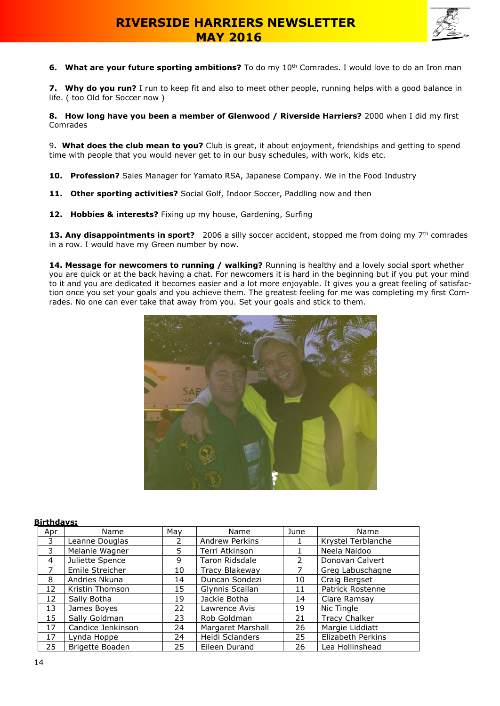

**6. What are your future sporting ambitions?** To do my 10<sup>th</sup> Comrades. I would love to do an Iron man

**7. Why do you run?** I run to keep fit and also to meet other people, running helps with a good balance in life. ( too Old for Soccer now )

**8. How long have you been a member of Glenwood / Riverside Harriers?** 2000 when I did my first Comrades

9**. What does the club mean to you?** Club is great, it about enjoyment, friendships and getting to spend time with people that you would never get to in our busy schedules, with work, kids etc.

- **10. Profession?** Sales Manager for Yamato RSA, Japanese Company. We in the Food Industry
- **11. Other sporting activities?** Social Golf, Indoor Soccer, Paddling now and then
- **12. Hobbies & interests?** Fixing up my house, Gardening, Surfing

**13. Any disappointments in sport?** 2006 a silly soccer accident, stopped me from doing my 7<sup>th</sup> comrades in a row. I would have my Green number by now.

**14. Message for newcomers to running / walking?** Running is healthy and a lovely social sport whether you are quick or at the back having a chat. For newcomers it is hard in the beginning but if you put your mind to it and you are dedicated it becomes easier and a lot more enjoyable. It gives you a great feeling of satisfaction once you set your goals and you achieve them. The greatest feeling for me was completing my first Comrades. No one can ever take that away from you. Set your goals and stick to them.



#### **Birthdays:**

| Apr | Name              | May | Name                  | June | Name                 |
|-----|-------------------|-----|-----------------------|------|----------------------|
| 3   | Leanne Douglas    |     | <b>Andrew Perkins</b> |      | Krystel Terblanche   |
| 3   | Melanie Wagner    | 5   | Terri Atkinson        |      | Neela Naidoo         |
| 4   | Juliette Spence   | 9   | Taron Ridsdale        | 2    | Donovan Calvert      |
| 7   | Emile Streicher   | 10  | <b>Tracy Blakeway</b> |      | Greg Labuschagne     |
| 8   | Andries Nkuna     | 14  | Duncan Sondezi        | 10   | Craig Bergset        |
| 12  | Kristin Thomson   | 15  | Glynnis Scallan       | 11   | Patrick Rostenne     |
| 12  | Sally Botha       | 19  | Jackie Botha          | 14   | Clare Ramsay         |
| 13  | James Boyes       | 22  | Lawrence Avis         | 19   | Nic Tingle           |
| 15  | Sally Goldman     | 23  | Rob Goldman           | 21   | <b>Tracy Chalker</b> |
| 17  | Candice Jenkinson | 24  | Margaret Marshall     | 26   | Margie Liddiatt      |
| 17  | Lynda Hoppe       | 24  | Heidi Sclanders       | 25   | Elizabeth Perkins    |
| 25  | Brigette Boaden   | 25  | Eileen Durand         | 26   | Lea Hollinshead      |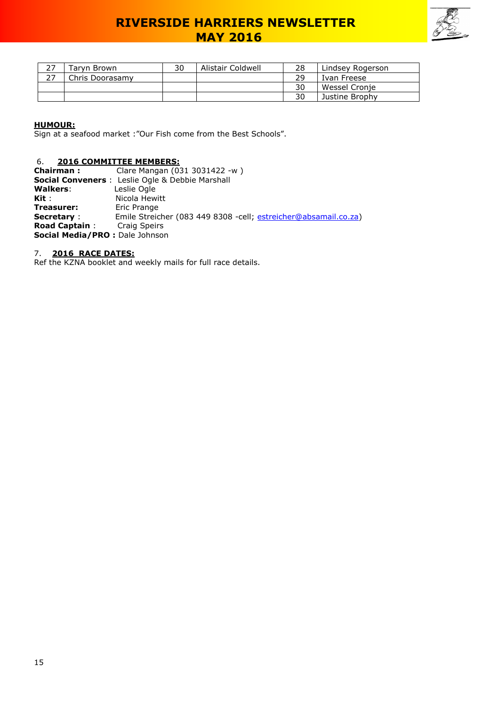

| 27 | Tarvn Brown     | 30 | Alistair Coldwell | 28 | Lindsey Rogerson |
|----|-----------------|----|-------------------|----|------------------|
| っっ | Chris Doorasamy |    |                   | 29 | Ivan Freese      |
|    |                 |    |                   | 30 | Wessel Cronie    |
|    |                 |    |                   | 30 | Justine Brophy   |

### **HUMOUR:**

Sign at a seafood market :"Our Fish come from the Best Schools".

### 6. **2016 COMMITTEE MEMBERS:**

| <b>Chairman:</b>                | Clare Mangan (031 3031422 -w)                                    |
|---------------------------------|------------------------------------------------------------------|
|                                 | <b>Social Conveners</b> : Leslie Ogle & Debbie Marshall          |
| <b>Walkers:</b>                 | Leslie Ogle                                                      |
| Kit :                           | Nicola Hewitt                                                    |
| Treasurer:                      | Eric Prange                                                      |
| <b>Secretary:</b>               | Emile Streicher (083 449 8308 - cell; estreicher@absamail.co.za) |
| <b>Road Captain:</b>            | <b>Craig Speirs</b>                                              |
| Social Media/PRO : Dale Johnson |                                                                  |

### 7. **2016 RACE DATES:**

Ref the KZNA booklet and weekly mails for full race details.